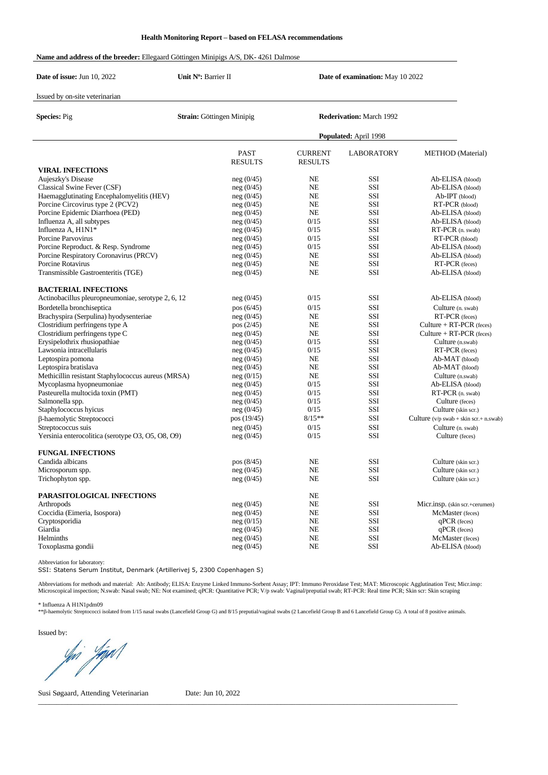## **Name and address of the breeder:** Ellegaard Göttingen Minipigs A/S, DK- 4261 Dalmose

| Date of issue: Jun 10, 2022                        | Unit Nº: Barrier II           |                                  | Date of examination: May 10 2022 |                                                                        |  |  |
|----------------------------------------------------|-------------------------------|----------------------------------|----------------------------------|------------------------------------------------------------------------|--|--|
| Issued by on-site veterinarian                     |                               |                                  |                                  |                                                                        |  |  |
| <b>Species: Pig</b>                                | Strain: Göttingen Minipig     |                                  | <b>Rederivation:</b> March 1992  |                                                                        |  |  |
|                                                    |                               | Populated: April 1998            |                                  |                                                                        |  |  |
|                                                    | <b>PAST</b><br><b>RESULTS</b> | <b>CURRENT</b><br><b>RESULTS</b> | <b>LABORATORY</b>                | <b>METHOD</b> (Material)                                               |  |  |
| <b>VIRAL INFECTIONS</b>                            |                               |                                  |                                  |                                                                        |  |  |
| Aujeszky's Disease                                 | neg(0/45)                     | <b>NE</b>                        | SSI                              | Ab-ELISA (blood)                                                       |  |  |
| Classical Swine Fever (CSF)                        | neg(0/45)                     | <b>NE</b>                        | SSI                              | Ab-ELISA (blood)                                                       |  |  |
| Haemagglutinating Encephalomyelitis (HEV)          | neg(0/45)                     | <b>NE</b>                        | SSI                              | $Ab-IPT$ (blood)                                                       |  |  |
| Porcine Circovirus type 2 (PCV2)                   | neg(0/45)                     | <b>NE</b>                        | SSI                              | RT-PCR (blood)                                                         |  |  |
| Porcine Epidemic Diarrhoea (PED)                   | neg(0/45)                     | <b>NE</b>                        | SSI                              | Ab-ELISA (blood)                                                       |  |  |
| Influenza A, all subtypes                          | neg(0/45)                     | 0/15                             | SSI                              | Ab-ELISA (blood)                                                       |  |  |
| Influenza A, H1N1*                                 | neg(0/45)                     | 0/15                             | SSI                              | RT-PCR (n. swab)                                                       |  |  |
| Porcine Parvovirus                                 | neg(0/45)                     | 0/15                             | SSI                              | RT-PCR (blood)                                                         |  |  |
| Porcine Reproduct. & Resp. Syndrome                | neg(0/45)                     | 0/15                             | SSI                              | Ab-ELISA (blood)                                                       |  |  |
| Porcine Respiratory Coronavirus (PRCV)             | neg(0/45)                     | <b>NE</b>                        | SSI                              | Ab-ELISA (blood)                                                       |  |  |
| Porcine Rotavirus                                  | neg(0/45)                     | <b>NE</b>                        | SSI                              | RT-PCR (feces)                                                         |  |  |
| Transmissible Gastroenteritis (TGE)                | neg(0/45)                     | <b>NE</b>                        | SSI                              | Ab-ELISA (blood)                                                       |  |  |
| <b>BACTERIAL INFECTIONS</b>                        |                               |                                  |                                  |                                                                        |  |  |
| Actinobacillus pleuropneumoniae, serotype 2, 6, 12 | neg(0/45)                     | 0/15                             | SSI                              | Ab-ELISA (blood)                                                       |  |  |
| Bordetella bronchiseptica                          | pos(6/45)                     | 0/15                             | SSI                              | Culture (n. swab)                                                      |  |  |
| Brachyspira (Serpulina) hyodysenteriae             | neg(0/45)                     | <b>NE</b>                        | SSI                              | RT-PCR (feces)                                                         |  |  |
| Clostridium perfringens type A                     | pos (2/45)                    | <b>NE</b>                        | SSI                              | $Culture + RT-PCR$ (feces)                                             |  |  |
| Clostridium perfringens type C                     | neg(0/45)                     | <b>NE</b>                        | SSI                              | Culture $+ RT-PCR$ (feces)                                             |  |  |
| Erysipelothrix rhusiopathiae                       | neg(0/45)                     | 0/15                             | SSI                              | Culture (n.swab)                                                       |  |  |
| Lawsonia intracellularis                           | neg(0/45)                     | 0/15                             | SSI                              | RT-PCR (feces)                                                         |  |  |
| Leptospira pomona                                  | neg(0/45)                     | <b>NE</b>                        | SSI                              | Ab-MAT (blood)                                                         |  |  |
| Leptospira bratislava                              | neg(0/45)                     | <b>NE</b>                        | SSI                              | Ab-MAT (blood)                                                         |  |  |
| Methicillin resistant Staphylococcus aureus (MRSA) | neg(0/15)                     | <b>NE</b>                        | SSI                              | Culture (n.swab)                                                       |  |  |
| Mycoplasma hyopneumoniae                           | neg(0/45)                     | 0/15                             | SSI                              | Ab-ELISA (blood)                                                       |  |  |
| Pasteurella multocida toxin (PMT)                  | neg(0/45)                     | 0/15                             | SSI                              | RT-PCR (n. swab)                                                       |  |  |
| Salmonella spp.                                    | neg(0/45)                     | 0/15                             | SSI                              | Culture (feces)                                                        |  |  |
| Staphylococcus hyicus                              | neg(0/45)                     | 0/15                             | SSI                              | Culture (skin scr.)                                                    |  |  |
| β-haemolytic Streptococci                          | pos (19/45)                   | $8/15**$                         | SSI                              | Culture $(v/p \text{ swab} + \text{skin scr} + \text{n} \text{ swab})$ |  |  |
| Streptococcus suis                                 | neg(0/45)                     | 0/15                             | SSI                              | Culture (n. swab)                                                      |  |  |
| Yersinia enterocolitica (serotype O3, O5, O8, O9)  | neg(0/45)                     | 0/15                             | SSI                              | Culture (feces)                                                        |  |  |
| <b>FUNGAL INFECTIONS</b>                           |                               |                                  |                                  |                                                                        |  |  |
| Candida albicans                                   | pos (8/45)                    | <b>NE</b>                        | SSI                              | Culture (skin scr.)                                                    |  |  |
| Microsporum spp.                                   | neg(0/45)                     | <b>NE</b>                        | SSI                              | Culture (skin scr.)                                                    |  |  |
| Trichophyton spp.                                  | neg (0/45)                    | NE                               | SSI                              | Culture (skin scr.)                                                    |  |  |
| PARASITOLOGICAL INFECTIONS                         |                               | NE                               |                                  |                                                                        |  |  |
| Arthropods                                         | neg(0/45)                     | NE                               | SSI                              | Micr.insp. (skin scr.+cerumen)                                         |  |  |
| Coccidia (Eimeria, Isospora)                       | neg(0/45)                     | NE                               | SSI                              | McMaster (feces)                                                       |  |  |
| Cryptosporidia                                     | neg(0/15)                     | NE                               | SSI                              | $qPCR$ (feces)                                                         |  |  |
| Giardia                                            | neg(0/45)                     | NE                               | SSI                              | qPCR (feces)                                                           |  |  |
| Helminths                                          | neg(0/45)                     | NE                               | SSI                              | McMaster (feces)                                                       |  |  |
| Toxoplasma gondii                                  | neg(0/45)                     | NE                               | SSI                              | Ab-ELISA (blood)                                                       |  |  |

Abbreviation for laboratory: SSI: Statens Serum Institut, Denmark (Artillerivej 5, 2300 Copenhagen S)

Abbreviations for methods and material: Ab: Antibody; ELISA: Enzyme Linked Immuno-Sorbent Assay; IPT: Immuno Peroxidase Test; MAT: Microscopic Agglutination Test; Micr.insp:<br>Microscopical inspection; N.swab: Nasal swab; NE

\* Influenza A H1N1pdm09

\*\*B-haemolytic Streptococci isolated from 1/15 nasal swabs (Lancefield Group G) and 8/15 preputial/vaginal swabs (2 Lancefield Group B and 6 Lancefield Group G). A total of 8 positive animals.

 $\_$  , and the set of the set of the set of the set of the set of the set of the set of the set of the set of the set of the set of the set of the set of the set of the set of the set of the set of the set of the set of th

Issued by:

yhi Yipit

Susi Søgaard, Attending Veterinarian Date: Jun 10, 2022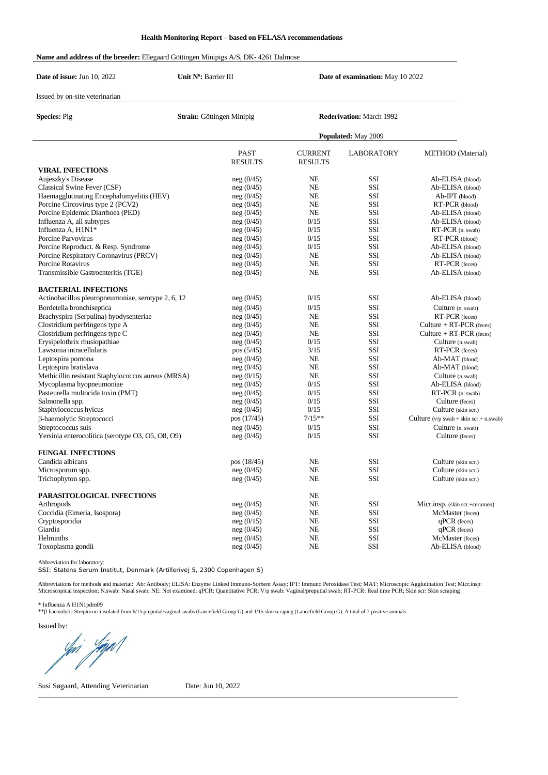## **Name and address of the breeder:** Ellegaard Göttingen Minipigs A/S, DK- 4261 Dalmose

| Date of issue: Jun 10, 2022                              | Unit N°: Barrier III             |                                  | Date of examination: May 10 2022 |                                                                        |  |  |
|----------------------------------------------------------|----------------------------------|----------------------------------|----------------------------------|------------------------------------------------------------------------|--|--|
| Issued by on-site veterinarian                           |                                  |                                  |                                  |                                                                        |  |  |
| <b>Species: Pig</b>                                      | <b>Strain:</b> Göttingen Minipig |                                  | <b>Rederivation:</b> March 1992  |                                                                        |  |  |
|                                                          |                                  | Populated: May 2009              |                                  |                                                                        |  |  |
|                                                          | <b>PAST</b><br><b>RESULTS</b>    | <b>CURRENT</b><br><b>RESULTS</b> | <b>LABORATORY</b>                | <b>METHOD</b> (Material)                                               |  |  |
| <b>VIRAL INFECTIONS</b>                                  |                                  |                                  |                                  |                                                                        |  |  |
| Aujeszky's Disease                                       | neg(0/45)                        | <b>NE</b>                        | SSI                              | Ab-ELISA (blood)                                                       |  |  |
| Classical Swine Fever (CSF)                              | neg(0/45)                        | <b>NE</b>                        | SSI                              | Ab-ELISA (blood)                                                       |  |  |
| Haemagglutinating Encephalomyelitis (HEV)                | neg(0/45)                        | <b>NE</b>                        | SSI                              | $Ab-IPT$ (blood)                                                       |  |  |
| Porcine Circovirus type 2 (PCV2)                         | neg(0/45)                        | <b>NE</b>                        | SSI                              | RT-PCR (blood)                                                         |  |  |
| Porcine Epidemic Diarrhoea (PED)                         | neg(0/45)                        | <b>NE</b>                        | SSI                              | Ab-ELISA (blood)                                                       |  |  |
| Influenza A, all subtypes                                | neg(0/45)                        | 0/15                             | SSI                              | Ab-ELISA (blood)                                                       |  |  |
| Influenza A, H1N1*                                       | neg(0/45)                        | 0/15                             | SSI                              | RT-PCR (n. swab)                                                       |  |  |
| Porcine Parvovirus                                       | neg(0/45)                        | 0/15                             | SSI                              | RT-PCR (blood)                                                         |  |  |
| Porcine Reproduct. & Resp. Syndrome                      | neg(0/45)                        | 0/15                             | SSI                              | Ab-ELISA (blood)                                                       |  |  |
| Porcine Respiratory Coronavirus (PRCV)                   | neg(0/45)                        | <b>NE</b>                        | SSI                              | Ab-ELISA (blood)                                                       |  |  |
| Porcine Rotavirus                                        | neg(0/45)                        | <b>NE</b>                        | SSI                              | RT-PCR (feces)                                                         |  |  |
| Transmissible Gastroenteritis (TGE)                      | neg(0/45)                        | <b>NE</b>                        | SSI                              | Ab-ELISA (blood)                                                       |  |  |
| <b>BACTERIAL INFECTIONS</b>                              |                                  |                                  |                                  |                                                                        |  |  |
| Actinobacillus pleuropneumoniae, serotype 2, 6, 12       | neg(0/45)                        | 0/15                             | SSI                              | Ab-ELISA (blood)                                                       |  |  |
| Bordetella bronchiseptica                                | neg(0/45)                        | 0/15                             | SSI                              | Culture (n. swab)                                                      |  |  |
| Brachyspira (Serpulina) hyodysenteriae                   | neg(0/45)                        | <b>NE</b>                        | SSI                              | RT-PCR (feces)                                                         |  |  |
| Clostridium perfringens type A                           | neg(0/45)                        | <b>NE</b>                        | SSI                              | Culture $+ RT-PCR$ (feces)                                             |  |  |
| Clostridium perfringens type C                           | neg(0/45)                        | <b>NE</b>                        | SSI                              | Culture $+ RT-PCR$ (feces)                                             |  |  |
| Erysipelothrix rhusiopathiae<br>Lawsonia intracellularis | neg(0/45)                        | 0/15<br>3/15                     | SSI<br>SSI                       | Culture (n.swab)                                                       |  |  |
|                                                          | pos(5/45)                        | <b>NE</b>                        | SSI                              | RT-PCR (feces)                                                         |  |  |
| Leptospira pomona<br>Leptospira bratislava               | neg(0/45)                        | <b>NE</b>                        | SSI                              | Ab-MAT (blood)<br>Ab-MAT (blood)                                       |  |  |
| Methicillin resistant Staphylococcus aureus (MRSA)       | neg(0/45)<br>neg(0/15)           | <b>NE</b>                        | SSI                              | Culture (n.swab)                                                       |  |  |
| Mycoplasma hyopneumoniae                                 | neg(0/45)                        | 0/15                             | SSI                              | Ab-ELISA (blood)                                                       |  |  |
| Pasteurella multocida toxin (PMT)                        | neg(0/45)                        | 0/15                             | SSI                              | RT-PCR (n. swab)                                                       |  |  |
| Salmonella spp.                                          | neg(0/45)                        | 0/15                             | SSI                              | Culture (feces)                                                        |  |  |
| Staphylococcus hyicus                                    | neg(0/45)                        | 0/15                             | SSI                              | Culture (skin scr.)                                                    |  |  |
| β-haemolytic Streptococci                                | pos $(17/45)$                    | $7/15**$                         | SSI                              | Culture $(v/p \text{ swab} + \text{skin scr} + \text{n} \text{ swab})$ |  |  |
| Streptococcus suis                                       | neg(0/45)                        | 0/15                             | SSI                              | Culture (n. swab)                                                      |  |  |
| Yersinia enterocolitica (serotype O3, O5, O8, O9)        | neg(0/45)                        | 0/15                             | SSI                              | Culture (feces)                                                        |  |  |
| <b>FUNGAL INFECTIONS</b>                                 |                                  |                                  |                                  |                                                                        |  |  |
| Candida albicans                                         | pos (18/45)                      | <b>NE</b>                        | SSI                              | Culture (skin scr.)                                                    |  |  |
| Microsporum spp.                                         | neg(0/45)                        | <b>NE</b>                        | SSI                              | Culture (skin scr.)                                                    |  |  |
| Trichophyton spp.                                        | neg (0/45)                       | NE                               | SSI                              | Culture (skin scr.)                                                    |  |  |
| PARASITOLOGICAL INFECTIONS                               |                                  | NE                               |                                  |                                                                        |  |  |
| Arthropods                                               | neg(0/45)                        | NE                               | SSI                              | Micr.insp. (skin scr.+cerumen)                                         |  |  |
| Coccidia (Eimeria, Isospora)                             | neg(0/45)                        | NE                               | SSI                              | McMaster (feces)                                                       |  |  |
| Cryptosporidia                                           | neg(0/15)                        | NE                               | SSI                              | $qPCR$ (feces)                                                         |  |  |
| Giardia                                                  | neg(0/45)                        | NE                               | SSI                              | qPCR (feces)                                                           |  |  |
| Helminths                                                | neg(0/45)                        | NE                               | SSI                              | McMaster (feces)                                                       |  |  |
| Toxoplasma gondii                                        | neg(0/45)                        | NE                               | SSI                              | Ab-ELISA (blood)                                                       |  |  |
|                                                          |                                  |                                  |                                  |                                                                        |  |  |

Abbreviation for laboratory: SSI: Statens Serum Institut, Denmark (Artillerivej 5, 2300 Copenhagen S)

Abbreviations for methods and material: Ab: Antibody; ELISA: Enzyme Linked Immuno-Sorbent Assay; IPT: Immuno Peroxidase Test; MAT: Microscopic Agglutination Test; Micr.insp:<br>Microscopical inspection; N.swab: Nasal swab; NE

 $\_$  , and the state of the state of the state of the state of the state of the state of the state of the state of the state of the state of the state of the state of the state of the state of the state of the state of the

\* Influenza A H1N1pdm09<br>\*\*β-haemolytic Streptococci isolated from 6/15 preputial/vaginal swabs (Lancefield Group G) and 1/15 skin scraping (Lancefield Group G). A total of 7 positive animals.

Issued by:

yhi Yapol

Susi Søgaard, Attending Veterinarian Date: Jun 10, 2022